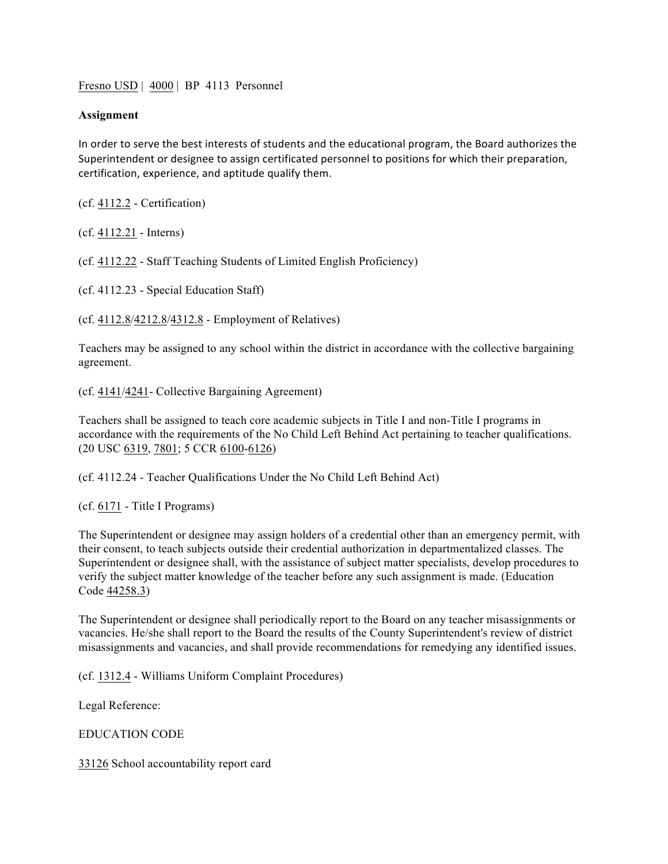Fresno USD | 4000 | BP 4113 Personnel

## **Assignment**

In order to serve the best interests of students and the educational program, the Board authorizes the Superintendent or designee to assign certificated personnel to positions for which their preparation, certification, experience, and aptitude qualify them.

(cf. 4112.2 - Certification)

(cf. 4112.21 - Interns)

(cf. 4112.22 - Staff Teaching Students of Limited English Proficiency)

(cf. 4112.23 - Special Education Staff)

(cf. 4112.8/4212.8/4312.8 - Employment of Relatives)

Teachers may be assigned to any school within the district in accordance with the collective bargaining agreement.

(cf. 4141/4241- Collective Bargaining Agreement)

Teachers shall be assigned to teach core academic subjects in Title I and non-Title I programs in accordance with the requirements of the No Child Left Behind Act pertaining to teacher qualifications. (20 USC 6319, 7801; 5 CCR 6100-6126)

(cf. 4112.24 - Teacher Qualifications Under the No Child Left Behind Act)

(cf. 6171 - Title I Programs)

The Superintendent or designee may assign holders of a credential other than an emergency permit, with their consent, to teach subjects outside their credential authorization in departmentalized classes. The Superintendent or designee shall, with the assistance of subject matter specialists, develop procedures to verify the subject matter knowledge of the teacher before any such assignment is made. (Education Code 44258.3)

The Superintendent or designee shall periodically report to the Board on any teacher misassignments or vacancies. He/she shall report to the Board the results of the County Superintendent's review of district misassignments and vacancies, and shall provide recommendations for remedying any identified issues.

(cf. 1312.4 - Williams Uniform Complaint Procedures)

Legal Reference:

EDUCATION CODE

33126 School accountability report card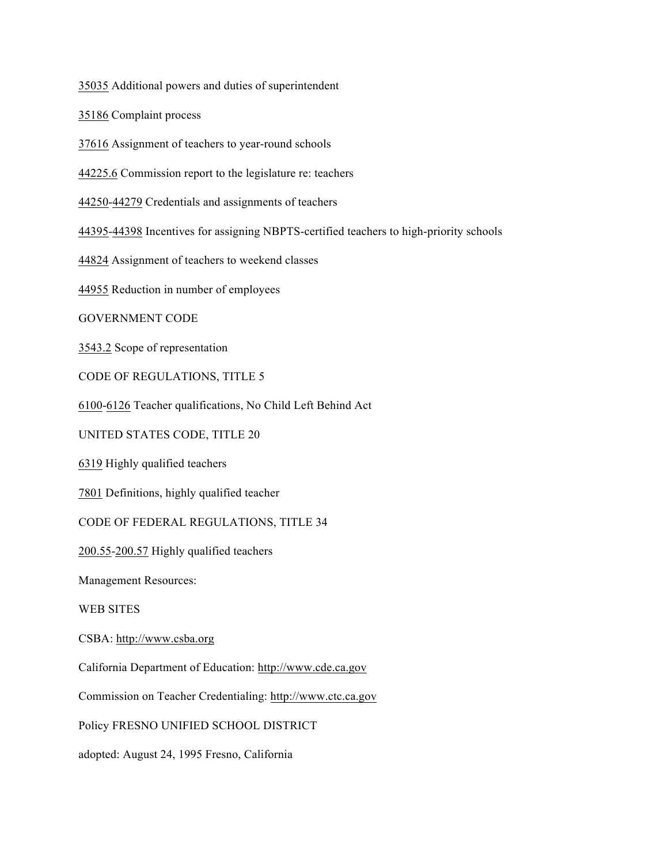35035 Additional powers and duties of superintendent

35186 Complaint process

37616 Assignment of teachers to year-round schools

44225.6 Commission report to the legislature re: teachers

44250-44279 Credentials and assignments of teachers

44395-44398 Incentives for assigning NBPTS-certified teachers to high-priority schools

44824 Assignment of teachers to weekend classes

44955 Reduction in number of employees

GOVERNMENT CODE

3543.2 Scope of representation

CODE OF REGULATIONS, TITLE 5

6100-6126 Teacher qualifications, No Child Left Behind Act

UNITED STATES CODE, TITLE 20

6319 Highly qualified teachers

7801 Definitions, highly qualified teacher

CODE OF FEDERAL REGULATIONS, TITLE 34

200.55-200.57 Highly qualified teachers

Management Resources:

WEB SITES

CSBA: http://www.csba.org

California Department of Education: http://www.cde.ca.gov

Commission on Teacher Credentialing: http://www.ctc.ca.gov

Policy FRESNO UNIFIED SCHOOL DISTRICT

adopted: August 24, 1995 Fresno, California